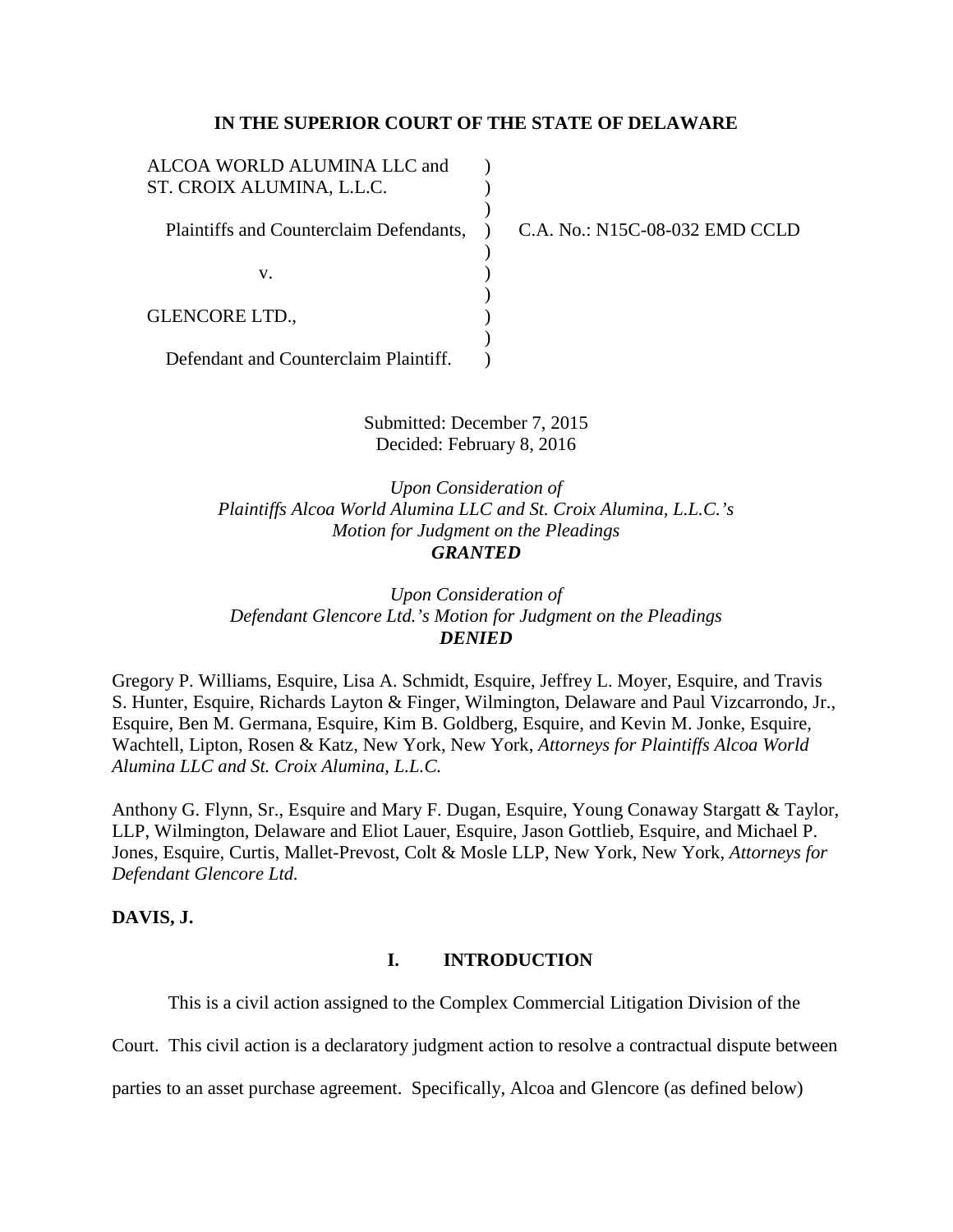### **IN THE SUPERIOR COURT OF THE STATE OF DELAWARE**

| ALCOA WORLD ALUMINA LLC and<br>ST. CROIX ALUMINA, L.L.C. |                                |
|----------------------------------------------------------|--------------------------------|
| Plaintiffs and Counterclaim Defendants,                  | C.A. No.: N15C-08-032 EMD CCLD |
| v.                                                       |                                |
| <b>GLENCORE LTD.,</b>                                    |                                |
| Defendant and Counterclaim Plaintiff.                    |                                |

Submitted: December 7, 2015 Decided: February 8, 2016

*Upon Consideration of Plaintiffs Alcoa World Alumina LLC and St. Croix Alumina, L.L.C.'s Motion for Judgment on the Pleadings GRANTED* 

*Upon Consideration of Defendant Glencore Ltd.'s Motion for Judgment on the Pleadings DENIED*

Gregory P. Williams, Esquire, Lisa A. Schmidt, Esquire, Jeffrey L. Moyer, Esquire, and Travis S. Hunter, Esquire, Richards Layton & Finger, Wilmington, Delaware and Paul Vizcarrondo, Jr., Esquire, Ben M. Germana, Esquire, Kim B. Goldberg, Esquire, and Kevin M. Jonke, Esquire, Wachtell, Lipton, Rosen & Katz, New York, New York, *Attorneys for Plaintiffs Alcoa World Alumina LLC and St. Croix Alumina, L.L.C.*

Anthony G. Flynn, Sr., Esquire and Mary F. Dugan, Esquire, Young Conaway Stargatt & Taylor, LLP, Wilmington, Delaware and Eliot Lauer, Esquire, Jason Gottlieb, Esquire, and Michael P. Jones, Esquire, Curtis, Mallet-Prevost, Colt & Mosle LLP, New York, New York, *Attorneys for Defendant Glencore Ltd.*

# **DAVIS, J.**

### **I. INTRODUCTION**

This is a civil action assigned to the Complex Commercial Litigation Division of the

Court. This civil action is a declaratory judgment action to resolve a contractual dispute between

parties to an asset purchase agreement. Specifically, Alcoa and Glencore (as defined below)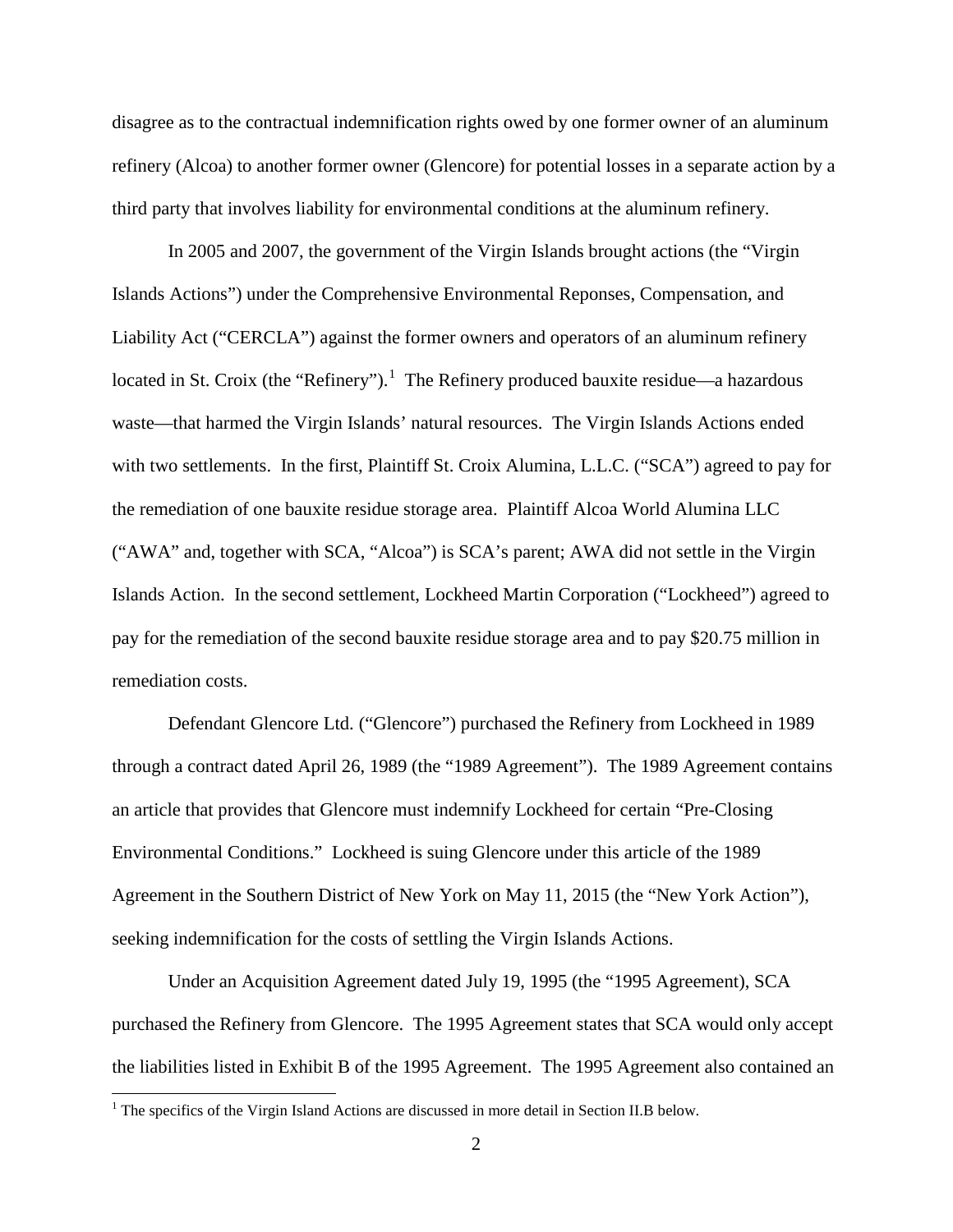disagree as to the contractual indemnification rights owed by one former owner of an aluminum refinery (Alcoa) to another former owner (Glencore) for potential losses in a separate action by a third party that involves liability for environmental conditions at the aluminum refinery.

In 2005 and 2007, the government of the Virgin Islands brought actions (the "Virgin Islands Actions") under the Comprehensive Environmental Reponses, Compensation, and Liability Act ("CERCLA") against the former owners and operators of an aluminum refinery located in St. Croix (the "Refinery").<sup>[1](#page-1-0)</sup> The Refinery produced bauxite residue—a hazardous waste—that harmed the Virgin Islands' natural resources. The Virgin Islands Actions ended with two settlements. In the first, Plaintiff St. Croix Alumina, L.L.C. ("SCA") agreed to pay for the remediation of one bauxite residue storage area. Plaintiff Alcoa World Alumina LLC ("AWA" and, together with SCA, "Alcoa") is SCA's parent; AWA did not settle in the Virgin Islands Action. In the second settlement, Lockheed Martin Corporation ("Lockheed") agreed to pay for the remediation of the second bauxite residue storage area and to pay \$20.75 million in remediation costs.

Defendant Glencore Ltd. ("Glencore") purchased the Refinery from Lockheed in 1989 through a contract dated April 26, 1989 (the "1989 Agreement"). The 1989 Agreement contains an article that provides that Glencore must indemnify Lockheed for certain "Pre-Closing Environmental Conditions." Lockheed is suing Glencore under this article of the 1989 Agreement in the Southern District of New York on May 11, 2015 (the "New York Action"), seeking indemnification for the costs of settling the Virgin Islands Actions.

Under an Acquisition Agreement dated July 19, 1995 (the "1995 Agreement), SCA purchased the Refinery from Glencore. The 1995 Agreement states that SCA would only accept the liabilities listed in Exhibit B of the 1995 Agreement. The 1995 Agreement also contained an

<span id="page-1-0"></span><sup>&</sup>lt;sup>1</sup> The specifics of the Virgin Island Actions are discussed in more detail in Section II.B below.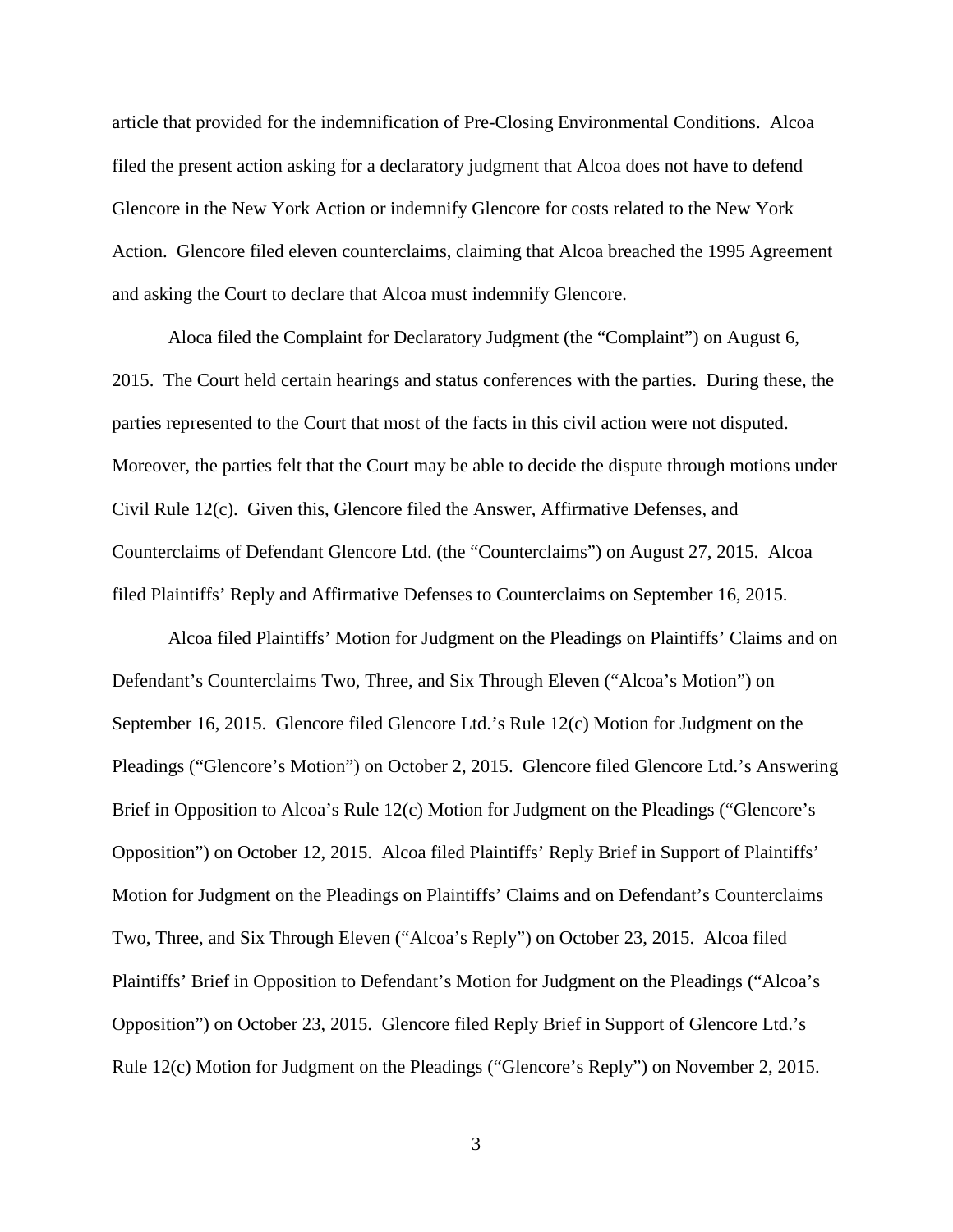article that provided for the indemnification of Pre-Closing Environmental Conditions. Alcoa filed the present action asking for a declaratory judgment that Alcoa does not have to defend Glencore in the New York Action or indemnify Glencore for costs related to the New York Action. Glencore filed eleven counterclaims, claiming that Alcoa breached the 1995 Agreement and asking the Court to declare that Alcoa must indemnify Glencore.

Aloca filed the Complaint for Declaratory Judgment (the "Complaint") on August 6, 2015. The Court held certain hearings and status conferences with the parties. During these, the parties represented to the Court that most of the facts in this civil action were not disputed. Moreover, the parties felt that the Court may be able to decide the dispute through motions under Civil Rule 12(c). Given this, Glencore filed the Answer, Affirmative Defenses, and Counterclaims of Defendant Glencore Ltd. (the "Counterclaims") on August 27, 2015. Alcoa filed Plaintiffs' Reply and Affirmative Defenses to Counterclaims on September 16, 2015.

Alcoa filed Plaintiffs' Motion for Judgment on the Pleadings on Plaintiffs' Claims and on Defendant's Counterclaims Two, Three, and Six Through Eleven ("Alcoa's Motion") on September 16, 2015. Glencore filed Glencore Ltd.'s Rule 12(c) Motion for Judgment on the Pleadings ("Glencore's Motion") on October 2, 2015. Glencore filed Glencore Ltd.'s Answering Brief in Opposition to Alcoa's Rule 12(c) Motion for Judgment on the Pleadings ("Glencore's Opposition") on October 12, 2015. Alcoa filed Plaintiffs' Reply Brief in Support of Plaintiffs' Motion for Judgment on the Pleadings on Plaintiffs' Claims and on Defendant's Counterclaims Two, Three, and Six Through Eleven ("Alcoa's Reply") on October 23, 2015. Alcoa filed Plaintiffs' Brief in Opposition to Defendant's Motion for Judgment on the Pleadings ("Alcoa's Opposition") on October 23, 2015. Glencore filed Reply Brief in Support of Glencore Ltd.'s Rule 12(c) Motion for Judgment on the Pleadings ("Glencore's Reply") on November 2, 2015.

3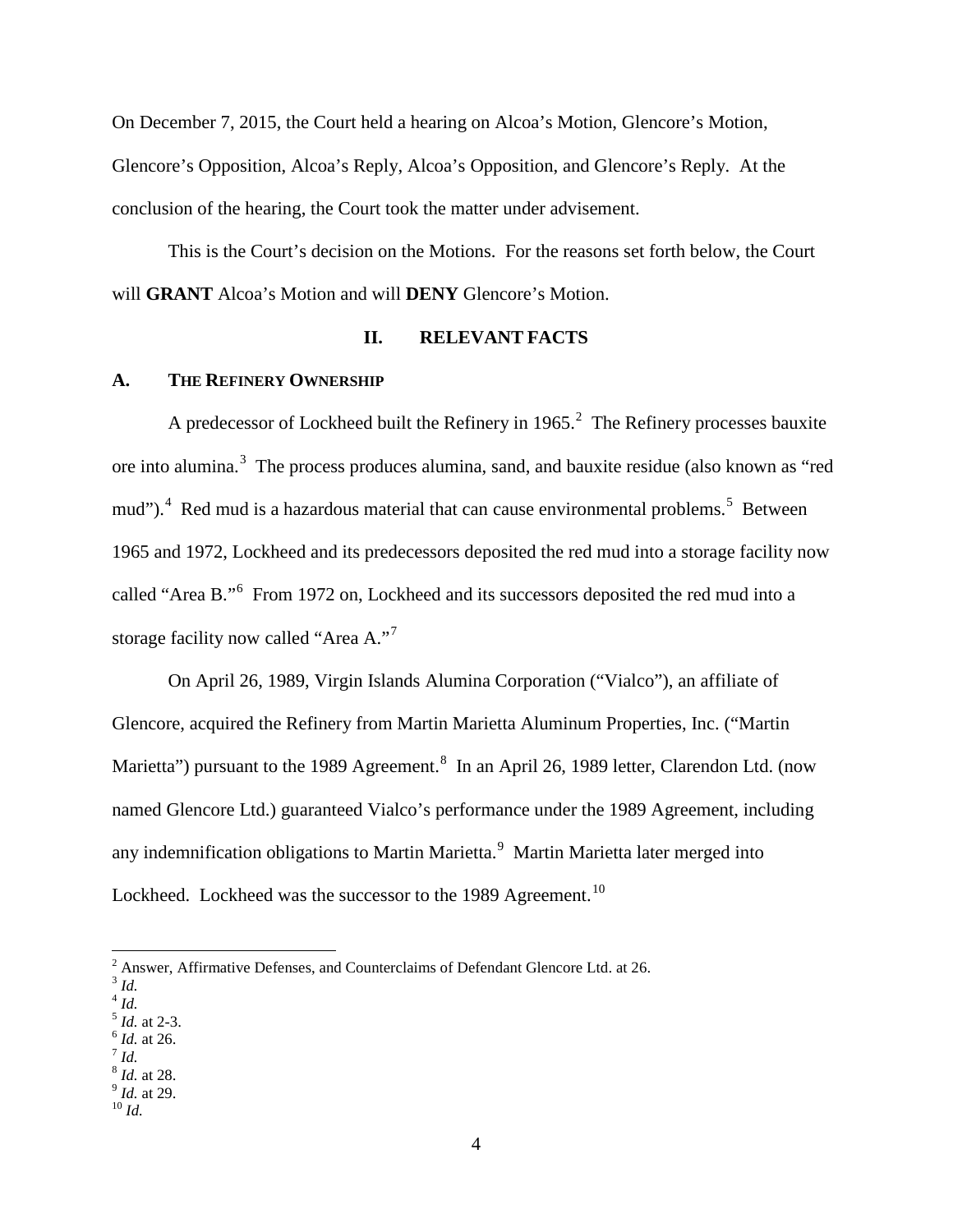On December 7, 2015, the Court held a hearing on Alcoa's Motion, Glencore's Motion, Glencore's Opposition, Alcoa's Reply, Alcoa's Opposition, and Glencore's Reply. At the conclusion of the hearing, the Court took the matter under advisement.

This is the Court's decision on the Motions. For the reasons set forth below, the Court will **GRANT** Alcoa's Motion and will **DENY** Glencore's Motion.

### **II. RELEVANT FACTS**

### **A. THE REFINERY OWNERSHIP**

A predecessor of Lockheed built the Refinery in 1965.<sup>[2](#page-3-0)</sup> The Refinery processes bauxite ore into alumina.<sup>[3](#page-3-1)</sup> The process produces alumina, sand, and bauxite residue (also known as "red mud").<sup>[4](#page-3-2)</sup> Red mud is a hazardous material that can cause environmental problems.<sup>[5](#page-3-3)</sup> Between 1965 and 1972, Lockheed and its predecessors deposited the red mud into a storage facility now called "Area B."<sup>[6](#page-3-4)</sup> From 1972 on, Lockheed and its successors deposited the red mud into a storage facility now called "Area A."[7](#page-3-5)

On April 26, 1989, Virgin Islands Alumina Corporation ("Vialco"), an affiliate of Glencore, acquired the Refinery from Martin Marietta Aluminum Properties, Inc. ("Martin Marietta") pursuant to the 19[8](#page-3-6)9 Agreement.<sup>8</sup> In an April 26, 1989 letter, Clarendon Ltd. (now named Glencore Ltd.) guaranteed Vialco's performance under the 1989 Agreement, including any indemnification obligations to Martin Marietta.<sup>[9](#page-3-7)</sup> Martin Marietta later merged into Lockheed. Lockheed was the successor to the 1989 Agreement.<sup>10</sup>

- <span id="page-3-3"></span><sup>5</sup> *Id.* at 2-3.<br><sup>6</sup> *Id.* at 26.<br><sup>7</sup> *Id.* 8 *Id.* at 28.
- <span id="page-3-4"></span>
- <span id="page-3-6"></span><span id="page-3-5"></span>

<span id="page-3-7"></span><sup>8</sup> *Id.* at 28. <sup>9</sup> *Id.* at 29. <sup>10</sup> *Id.*

<span id="page-3-8"></span>

<span id="page-3-0"></span> $2$  Answer, Affirmative Defenses, and Counterclaims of Defendant Glencore Ltd. at 26.

<span id="page-3-1"></span><sup>3</sup> *Id.*

<span id="page-3-2"></span> $4$  *Id.*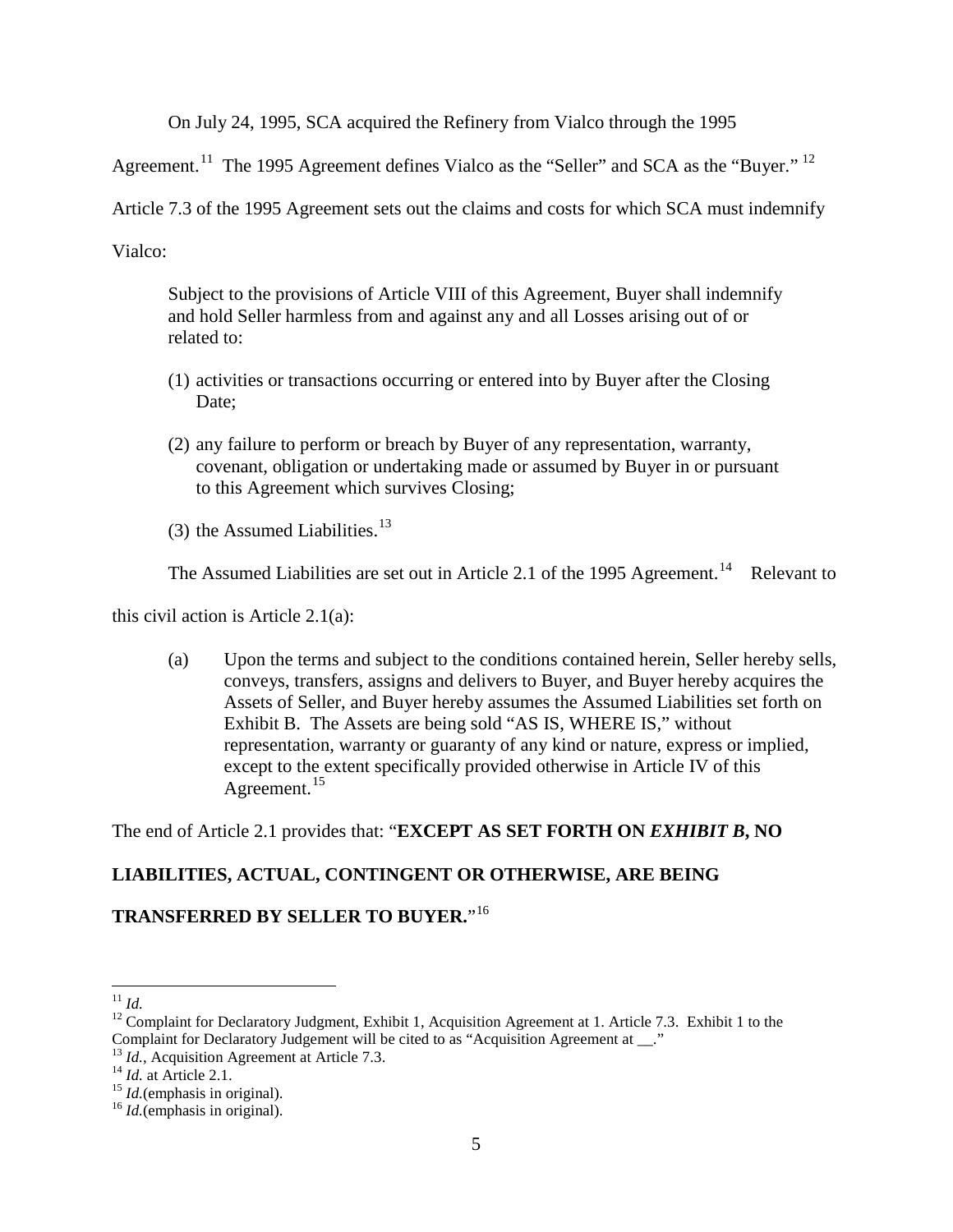On July 24, 1995, SCA acquired the Refinery from Vialco through the 1995

Agreement.<sup>[11](#page-4-0)</sup> The 1995 Agreement defines Vialco as the "Seller" and SCA as the "Buyer." <sup>12</sup>

Article 7.3 of the 1995 Agreement sets out the claims and costs for which SCA must indemnify

Vialco:

Subject to the provisions of Article VIII of this Agreement, Buyer shall indemnify and hold Seller harmless from and against any and all Losses arising out of or related to:

- (1) activities or transactions occurring or entered into by Buyer after the Closing Date;
- (2) any failure to perform or breach by Buyer of any representation, warranty, covenant, obligation or undertaking made or assumed by Buyer in or pursuant to this Agreement which survives Closing;
- (3) the Assumed Liabilities. $13$

The Assumed Liabilities are set out in Article 2.1 of the 1995 Agreement.<sup>14</sup> Relevant to

this civil action is Article 2.1(a):

(a) Upon the terms and subject to the conditions contained herein, Seller hereby sells, conveys, transfers, assigns and delivers to Buyer, and Buyer hereby acquires the Assets of Seller, and Buyer hereby assumes the Assumed Liabilities set forth on Exhibit B. The Assets are being sold "AS IS, WHERE IS," without representation, warranty or guaranty of any kind or nature, express or implied, except to the extent specifically provided otherwise in Article IV of this Agreement.<sup>[15](#page-4-4)</sup>

The end of Article 2.1 provides that: "**EXCEPT AS SET FORTH ON** *EXHIBIT B***, NO** 

# **LIABILITIES, ACTUAL, CONTINGENT OR OTHERWISE, ARE BEING**

# **TRANSFERRED BY SELLER TO BUYER.**"[16](#page-4-5)

<span id="page-4-1"></span><span id="page-4-0"></span><sup>&</sup>lt;sup>11</sup> *Id.* 12 Complaint for Declaratory Judgment, Exhibit 1, Acquisition Agreement at 1. Article 7.3. Exhibit 1 to the Complaint for Declaratory Judgement will be cited to as "Acquisition Agreement at \_\_."

<span id="page-4-2"></span><sup>&</sup>lt;sup>13</sup> *Id.*, Acquisition Agreement at Article 7.3.<br><sup>14</sup> *Id.* at Article 2.1.<br><sup>15</sup> *Id.*(emphasis in original). <sup>16</sup> *Id.*(emphasis in original).

<span id="page-4-3"></span>

<span id="page-4-4"></span>

<span id="page-4-5"></span>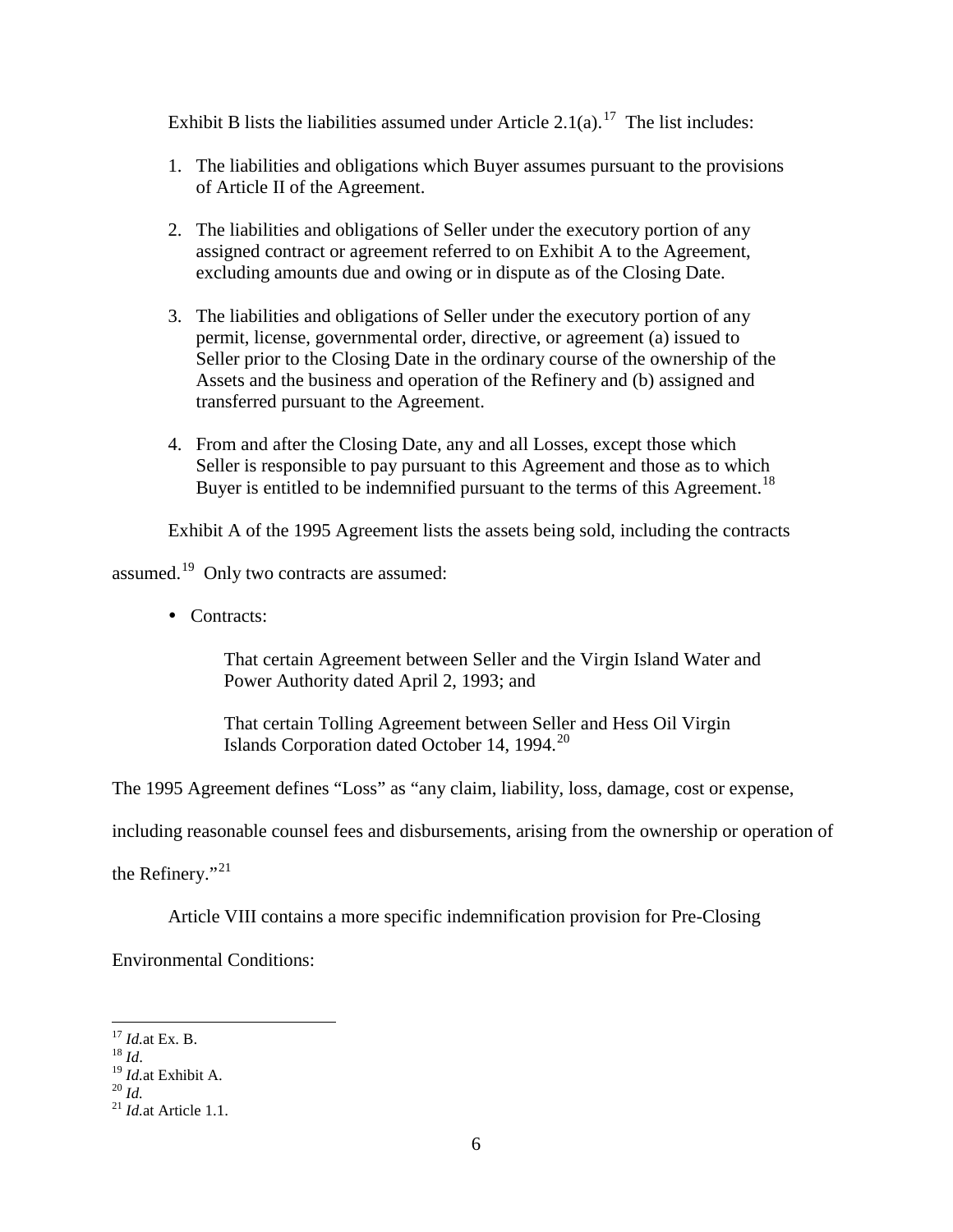Exhibit B lists the liabilities assumed under Article  $2.1(a)$ .<sup>[17](#page-5-0)</sup> The list includes:

- 1. The liabilities and obligations which Buyer assumes pursuant to the provisions of Article II of the Agreement.
- 2. The liabilities and obligations of Seller under the executory portion of any assigned contract or agreement referred to on Exhibit A to the Agreement, excluding amounts due and owing or in dispute as of the Closing Date.
- 3. The liabilities and obligations of Seller under the executory portion of any permit, license, governmental order, directive, or agreement (a) issued to Seller prior to the Closing Date in the ordinary course of the ownership of the Assets and the business and operation of the Refinery and (b) assigned and transferred pursuant to the Agreement.
- 4. From and after the Closing Date, any and all Losses, except those which Seller is responsible to pay pursuant to this Agreement and those as to which Buyer is entitled to be indemnified pursuant to the terms of this Agreement.<sup>[18](#page-5-1)</sup>

Exhibit A of the 1995 Agreement lists the assets being sold, including the contracts

assumed.<sup>[19](#page-5-2)</sup> Only two contracts are assumed:

• Contracts:

That certain Agreement between Seller and the Virgin Island Water and Power Authority dated April 2, 1993; and

That certain Tolling Agreement between Seller and Hess Oil Virgin Islands Corporation dated October 14, 1994.<sup>[20](#page-5-3)</sup>

The 1995 Agreement defines "Loss" as "any claim, liability, loss, damage, cost or expense,

including reasonable counsel fees and disbursements, arising from the ownership or operation of

the Refinery."<sup>21</sup>

Article VIII contains a more specific indemnification provision for Pre-Closing

Environmental Conditions:

<span id="page-5-2"></span>

<span id="page-5-4"></span><span id="page-5-3"></span>

<span id="page-5-1"></span><span id="page-5-0"></span><sup>17</sup> *Id.*at Ex. B. <sup>18</sup> *Id*. 19 *Id.*at Exhibit A. <sup>20</sup> *Id.* <sup>21</sup> *Id.*at Article 1.1.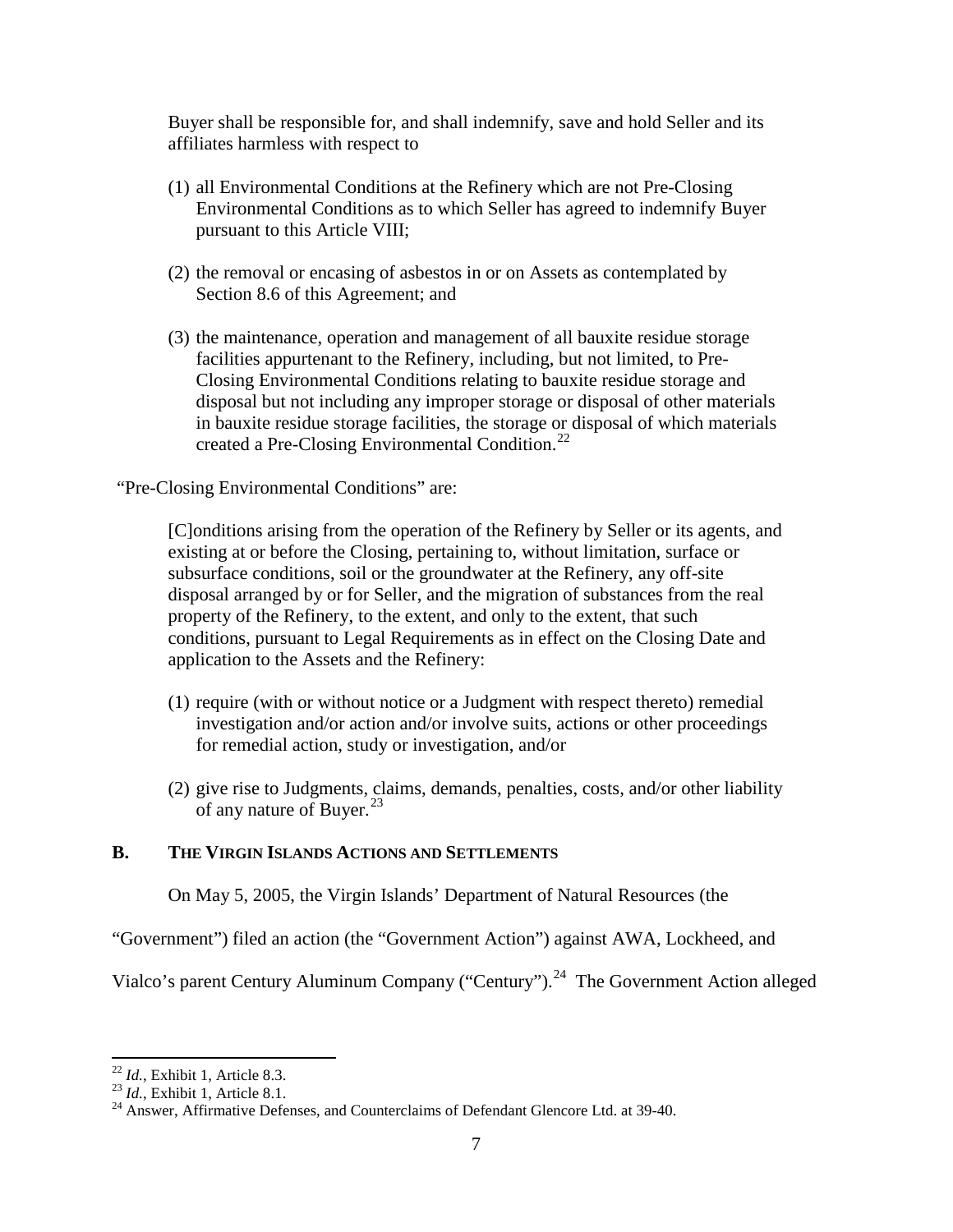Buyer shall be responsible for, and shall indemnify, save and hold Seller and its affiliates harmless with respect to

- (1) all Environmental Conditions at the Refinery which are not Pre-Closing Environmental Conditions as to which Seller has agreed to indemnify Buyer pursuant to this Article VIII;
- (2) the removal or encasing of asbestos in or on Assets as contemplated by Section 8.6 of this Agreement; and
- (3) the maintenance, operation and management of all bauxite residue storage facilities appurtenant to the Refinery, including, but not limited, to Pre-Closing Environmental Conditions relating to bauxite residue storage and disposal but not including any improper storage or disposal of other materials in bauxite residue storage facilities, the storage or disposal of which materials created a Pre-Closing Environmental Condition.<sup>[22](#page-6-0)</sup>

"Pre-Closing Environmental Conditions" are:

[C]onditions arising from the operation of the Refinery by Seller or its agents, and existing at or before the Closing, pertaining to, without limitation, surface or subsurface conditions, soil or the groundwater at the Refinery, any off-site disposal arranged by or for Seller, and the migration of substances from the real property of the Refinery, to the extent, and only to the extent, that such conditions, pursuant to Legal Requirements as in effect on the Closing Date and application to the Assets and the Refinery:

- (1) require (with or without notice or a Judgment with respect thereto) remedial investigation and/or action and/or involve suits, actions or other proceedings for remedial action, study or investigation, and/or
- (2) give rise to Judgments, claims, demands, penalties, costs, and/or other liability of any nature of Buyer.<sup>[23](#page-6-1)</sup>

# **B. THE VIRGIN ISLANDS ACTIONS AND SETTLEMENTS**

On May 5, 2005, the Virgin Islands' Department of Natural Resources (the

"Government") filed an action (the "Government Action") against AWA, Lockheed, and

Vialco's parent Century Aluminum Company ("Century").<sup>24</sup> The Government Action alleged

<span id="page-6-2"></span>

<span id="page-6-1"></span><span id="page-6-0"></span><sup>&</sup>lt;sup>22</sup> *Id.*, Exhibit 1, Article 8.3.<br><sup>23</sup> *Id.*, Exhibit 1, Article 8.1.<br><sup>24</sup> Answer, Affirmative Defenses, and Counterclaims of Defendant Glencore Ltd. at 39-40.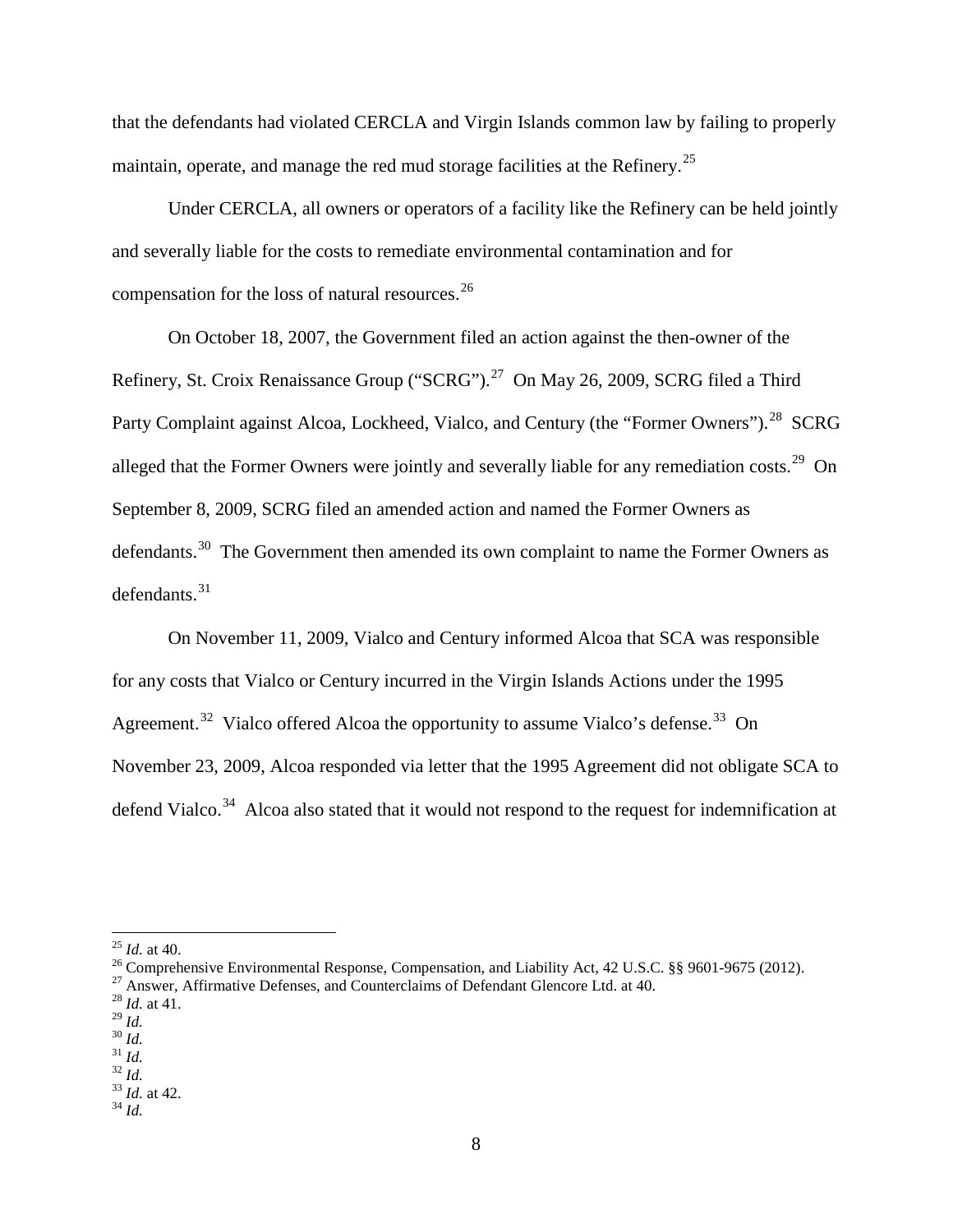that the defendants had violated CERCLA and Virgin Islands common law by failing to properly maintain, operate, and manage the red mud storage facilities at the Refinery.<sup>[25](#page-7-0)</sup>

Under CERCLA, all owners or operators of a facility like the Refinery can be held jointly and severally liable for the costs to remediate environmental contamination and for compensation for the loss of natural resources.<sup>[26](#page-7-1)</sup>

On October 18, 2007, the Government filed an action against the then-owner of the Refinery, St. Croix Renaissance Group ("SCRG").<sup>27</sup> On May 26, 2009, SCRG filed a Third Party Complaint against Alcoa, Lockheed, Vialco, and Century (the "Former Owners").<sup>28</sup> SCRG alleged that the Former Owners were jointly and severally liable for any remediation costs.<sup>[29](#page-7-4)</sup> On September 8, 2009, SCRG filed an amended action and named the Former Owners as defendants.<sup>30</sup> The Government then amended its own complaint to name the Former Owners as  $defendants.<sup>31</sup>$  $defendants.<sup>31</sup>$  $defendants.<sup>31</sup>$ 

On November 11, 2009, Vialco and Century informed Alcoa that SCA was responsible for any costs that Vialco or Century incurred in the Virgin Islands Actions under the 1995 Agreement.<sup>[32](#page-7-7)</sup> Vialco offered Alcoa the opportunity to assume Vialco's defense.<sup>33</sup> On November 23, 2009, Alcoa responded via letter that the 1995 Agreement did not obligate SCA to defend Vialco.<sup>[34](#page-7-9)</sup> Alcoa also stated that it would not respond to the request for indemnification at

<span id="page-7-0"></span><sup>&</sup>lt;sup>25</sup> *Id.* at 40.<br><sup>26</sup> Comprehensive Environmental Response, Compensation, and Liability Act, 42 U.S.C. §§ 9601-9675 (2012).<br><sup>27</sup> Answer, Affirmative Defenses, and Counterclaims of Defendant Glencore Ltd. at 40.<br><sup>28</sup> *Id.* 

<span id="page-7-3"></span><span id="page-7-2"></span><span id="page-7-1"></span>

<span id="page-7-6"></span>

<span id="page-7-8"></span><span id="page-7-7"></span>

<span id="page-7-5"></span><span id="page-7-4"></span><sup>29</sup> *Id.* 30 *Id.* 31 *Id.* 32 *Id.* 33 *Id.* at 42. 34 *Id.*

<span id="page-7-9"></span>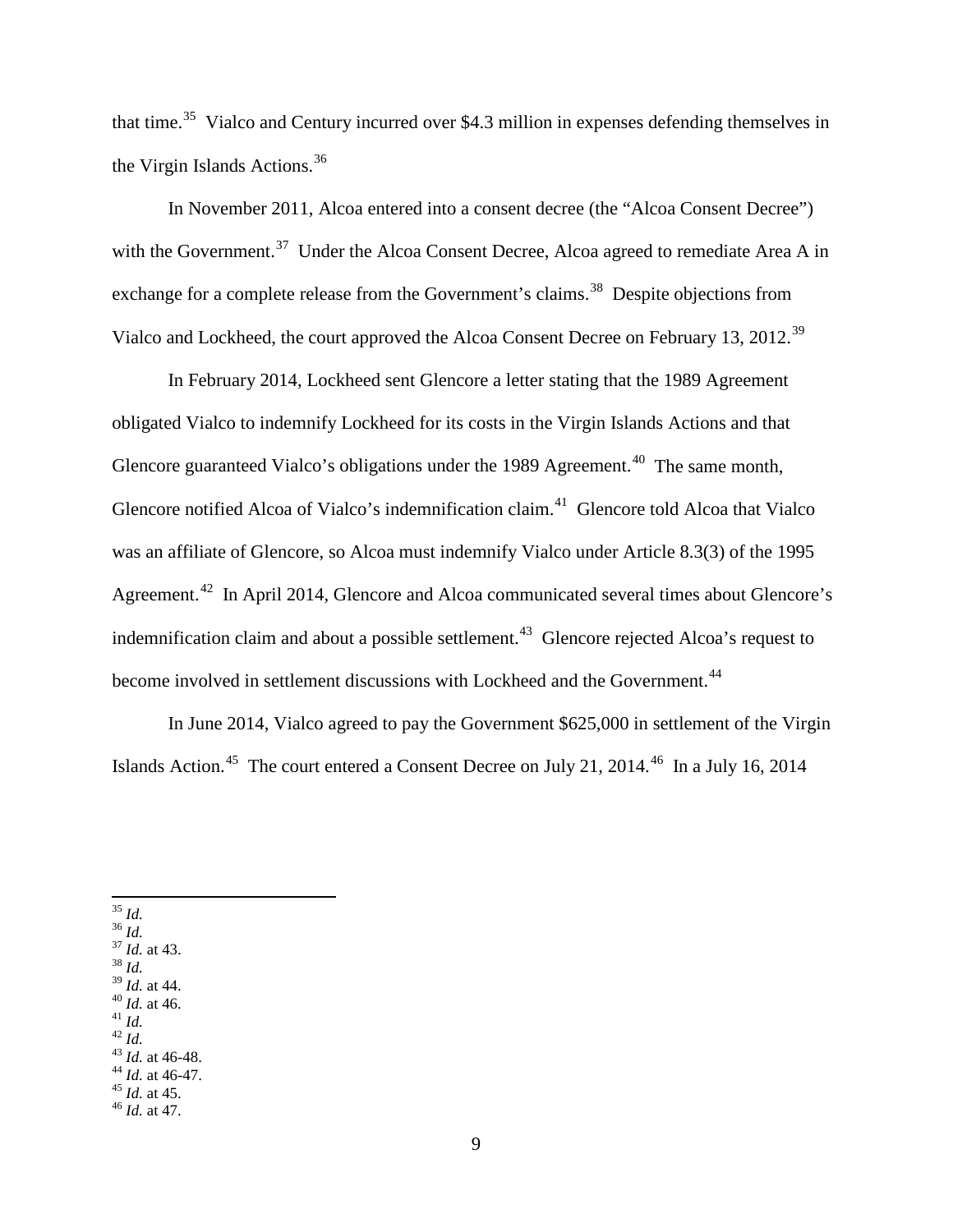that time.[35](#page-8-0) Vialco and Century incurred over \$4.3 million in expenses defending themselves in the Virgin Islands Actions.<sup>[36](#page-8-1)</sup>

In November 2011, Alcoa entered into a consent decree (the "Alcoa Consent Decree") with the Government.<sup>37</sup> Under the Alcoa Consent Decree, Alcoa agreed to remediate Area A in exchange for a complete release from the Government's claims.<sup>38</sup> Despite objections from Vialco and Lockheed, the court approved the Alcoa Consent Decree on February 13, 2012.[39](#page-8-4)

In February 2014, Lockheed sent Glencore a letter stating that the 1989 Agreement obligated Vialco to indemnify Lockheed for its costs in the Virgin Islands Actions and that Glencore guaranteed Vialco's obligations under the 1989 Agreement.<sup>40</sup> The same month, Glencore notified Alcoa of Vialco's indemnification claim.<sup>41</sup> Glencore told Alcoa that Vialco was an affiliate of Glencore, so Alcoa must indemnify Vialco under Article 8.3(3) of the 1995 Agreement.<sup>[42](#page-8-7)</sup> In April 2014, Glencore and Alcoa communicated several times about Glencore's indemnification claim and about a possible settlement.<sup>[43](#page-8-8)</sup> Glencore rejected Alcoa's request to become involved in settlement discussions with Lockheed and the Government.<sup>44</sup>

In June 2014, Vialco agreed to pay the Government \$625,000 in settlement of the Virgin Islands Action.<sup>[45](#page-8-10)</sup> The court entered a Consent Decree on July 21, 2014.<sup>[46](#page-8-11)</sup> In a July 16, 2014

<span id="page-8-3"></span><span id="page-8-2"></span>

<span id="page-8-1"></span><span id="page-8-0"></span>35 *Id.* 36 *Id.* 37 *Id.* at 43. 38 *Id.*

<span id="page-8-8"></span><span id="page-8-7"></span>

<span id="page-8-6"></span><span id="page-8-5"></span><span id="page-8-4"></span>40 *Id.* at 46.<br>
42 *Id.*<br>
43 *Id.* at 46-48.<br>
44 *Id.* at 46-47.<br>
45 *Id.* at 45.<br>
46 *Id.* at 47.

<span id="page-8-10"></span><span id="page-8-9"></span>

<span id="page-8-11"></span>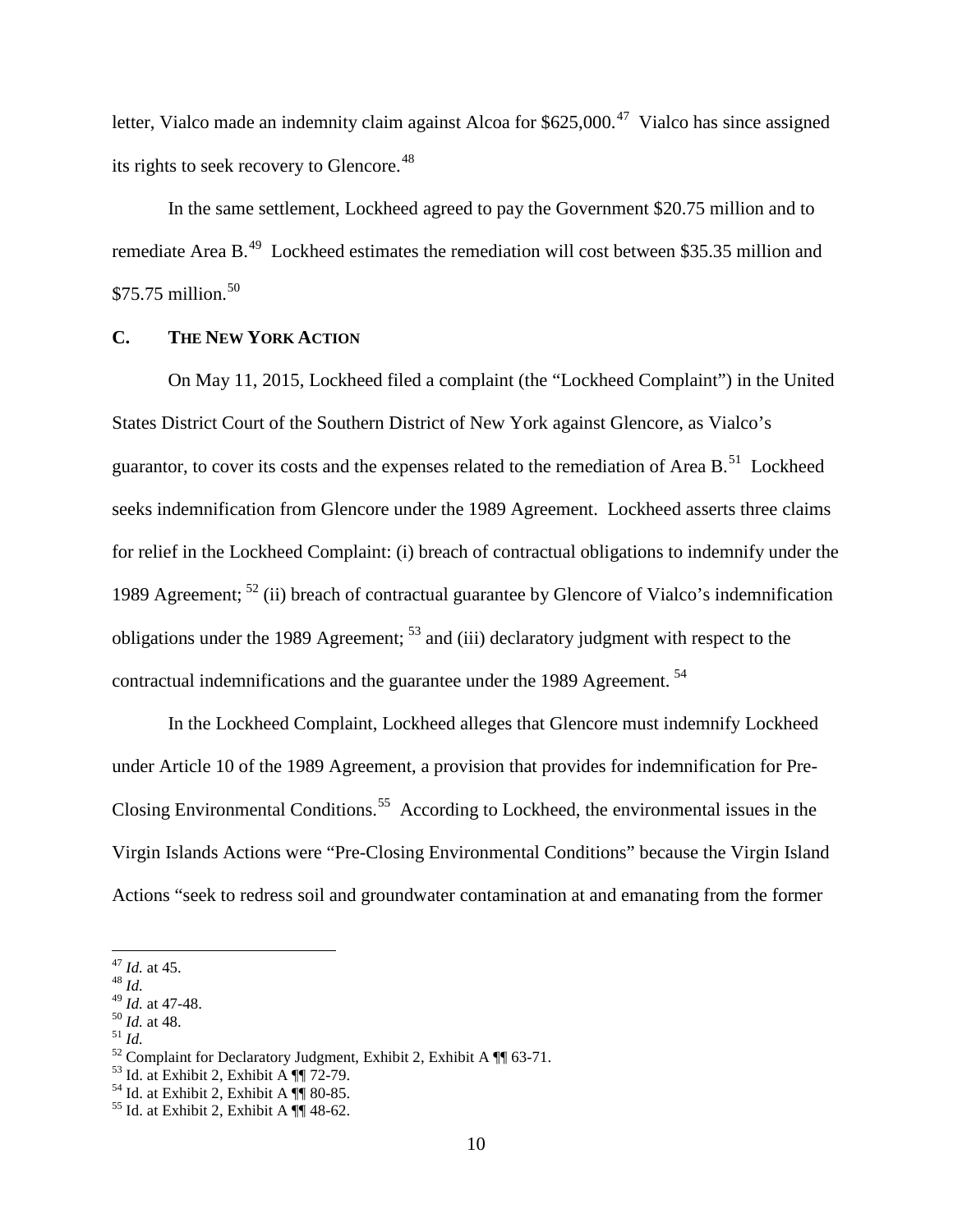letter. Vialco made an indemnity claim against Alcoa for  $$625,000.<sup>47</sup>$  Vialco has since assigned its rights to seek recovery to Glencore.<sup>[48](#page-9-1)</sup>

In the same settlement, Lockheed agreed to pay the Government \$20.75 million and to remediate Area B.[49](#page-9-2) Lockheed estimates the remediation will cost between \$35.35 million and \$75.75 million. $50$ 

# **C. THE NEW YORK ACTION**

On May 11, 2015, Lockheed filed a complaint (the "Lockheed Complaint") in the United States District Court of the Southern District of New York against Glencore, as Vialco's guarantor, to cover its costs and the expenses related to the remediation of Area B.<sup>51</sup> Lockheed seeks indemnification from Glencore under the 1989 Agreement. Lockheed asserts three claims for relief in the Lockheed Complaint: (i) breach of contractual obligations to indemnify under the 1989 Agreement;  $^{52}$  $^{52}$  $^{52}$  (ii) breach of contractual guarantee by Glencore of Vialco's indemnification obligations under the 1989 Agreement;  $5<sup>3</sup>$  and (iii) declaratory judgment with respect to the contractual indemnifications and the guarantee under the 1989 Agreement. [54](#page-9-7)

In the Lockheed Complaint, Lockheed alleges that Glencore must indemnify Lockheed under Article 10 of the 1989 Agreement, a provision that provides for indemnification for Pre-Closing Environmental Conditions.<sup>[55](#page-9-8)</sup> According to Lockheed, the environmental issues in the Virgin Islands Actions were "Pre-Closing Environmental Conditions" because the Virgin Island Actions "seek to redress soil and groundwater contamination at and emanating from the former

<span id="page-9-1"></span>

<span id="page-9-0"></span><sup>&</sup>lt;sup>47</sup> *Id.* at 45.<br><sup>48</sup> *Id.*  $\frac{49}{49}$  *Id.* at 47-48.

<span id="page-9-5"></span><span id="page-9-4"></span>

<span id="page-9-3"></span><span id="page-9-2"></span><sup>&</sup>lt;sup>50</sup> *Id.* at 48.<br>
<sup>51</sup> *Id.*<br>
<sup>52</sup> Complaint for Declaratory Judgment, Exhibit 2, Exhibit A  $\P$  63-71.<br>
<sup>53</sup> Id. at Exhibit 2, Exhibit A  $\P$  72-79.<br>
<sup>54</sup> Id. at Exhibit 2, Exhibit A  $\P$  80-85.<br>
<sup>55</sup> Id. at Exhibit 2, Exh

<span id="page-9-6"></span>

<span id="page-9-8"></span><span id="page-9-7"></span>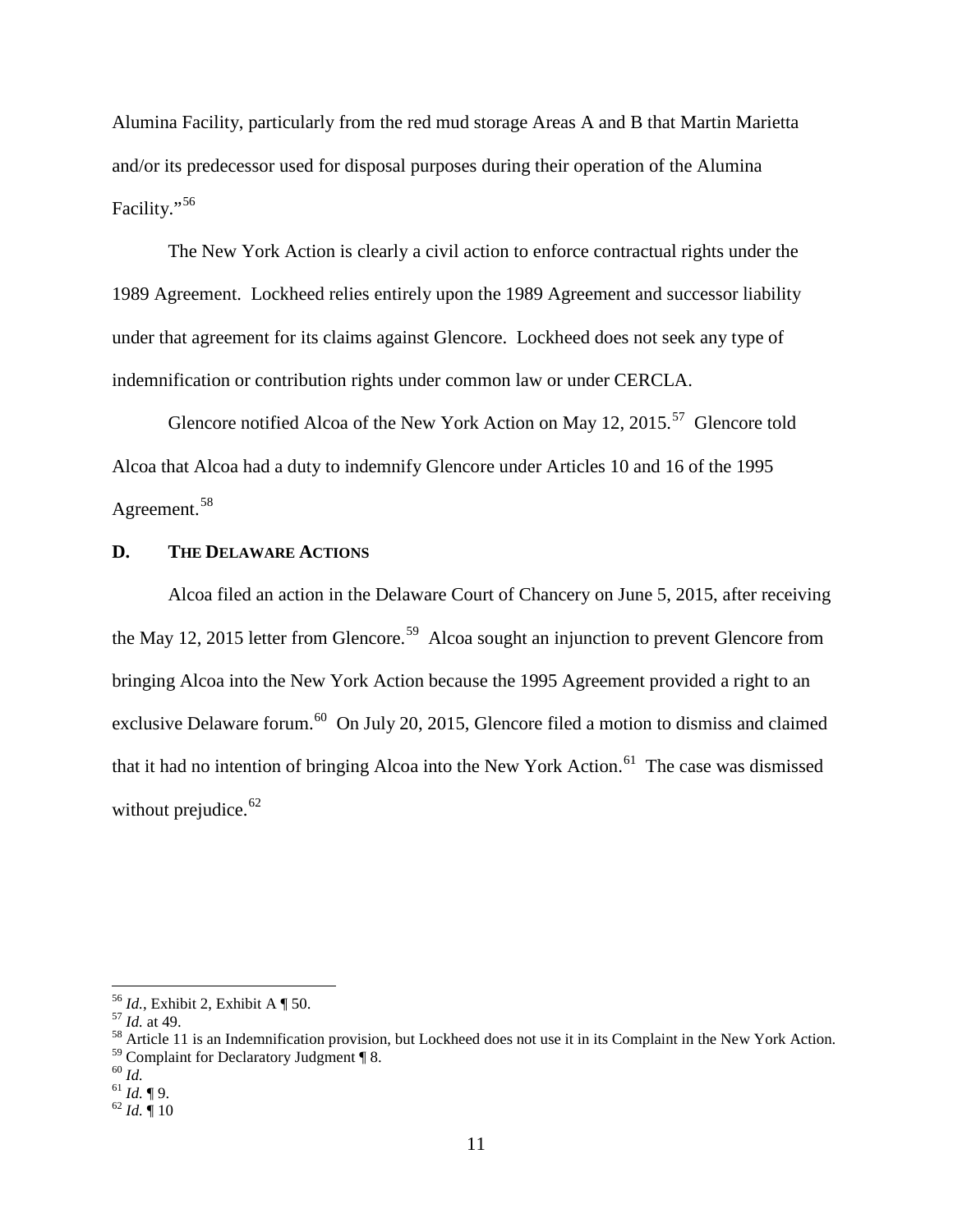Alumina Facility, particularly from the red mud storage Areas A and B that Martin Marietta and/or its predecessor used for disposal purposes during their operation of the Alumina Facility."[56](#page-10-0) 

The New York Action is clearly a civil action to enforce contractual rights under the 1989 Agreement. Lockheed relies entirely upon the 1989 Agreement and successor liability under that agreement for its claims against Glencore. Lockheed does not seek any type of indemnification or contribution rights under common law or under CERCLA.

Glencore notified Alcoa of the New York Action on May 12, 2015.<sup>[57](#page-10-1)</sup> Glencore told Alcoa that Alcoa had a duty to indemnify Glencore under Articles 10 and 16 of the 1995 Agreement.<sup>[58](#page-10-2)</sup>

### **D. THE DELAWARE ACTIONS**

Alcoa filed an action in the Delaware Court of Chancery on June 5, 2015, after receiving the May 12, 2015 letter from Glencore.<sup>[59](#page-10-3)</sup> Alcoa sought an injunction to prevent Glencore from bringing Alcoa into the New York Action because the 1995 Agreement provided a right to an exclusive Delaware forum.<sup>[60](#page-10-4)</sup> On July 20, 2015, Glencore filed a motion to dismiss and claimed that it had no intention of bringing Alcoa into the New York Action.<sup>61</sup> The case was dismissed without prejudice. $62$ 

<span id="page-10-2"></span><span id="page-10-1"></span>

<span id="page-10-0"></span><sup>&</sup>lt;sup>56</sup> *Id.*, Exhibit 2, Exhibit A ¶ 50.<br><sup>57</sup> *Id.* at 49.<br><sup>58</sup> Article 11 is an Indemnification provision, but Lockheed does not use it in its Complaint in the New York Action. <sup>59</sup> Complaint for Declaratory Judgment ¶ 8.<br><sup>60</sup> *Id.* ¶ 9.<br><sup>61</sup> *Id.* ¶ 9.<br><sup>62</sup> *Id.* ¶ 10

<span id="page-10-4"></span><span id="page-10-3"></span>

<span id="page-10-5"></span>

<span id="page-10-6"></span>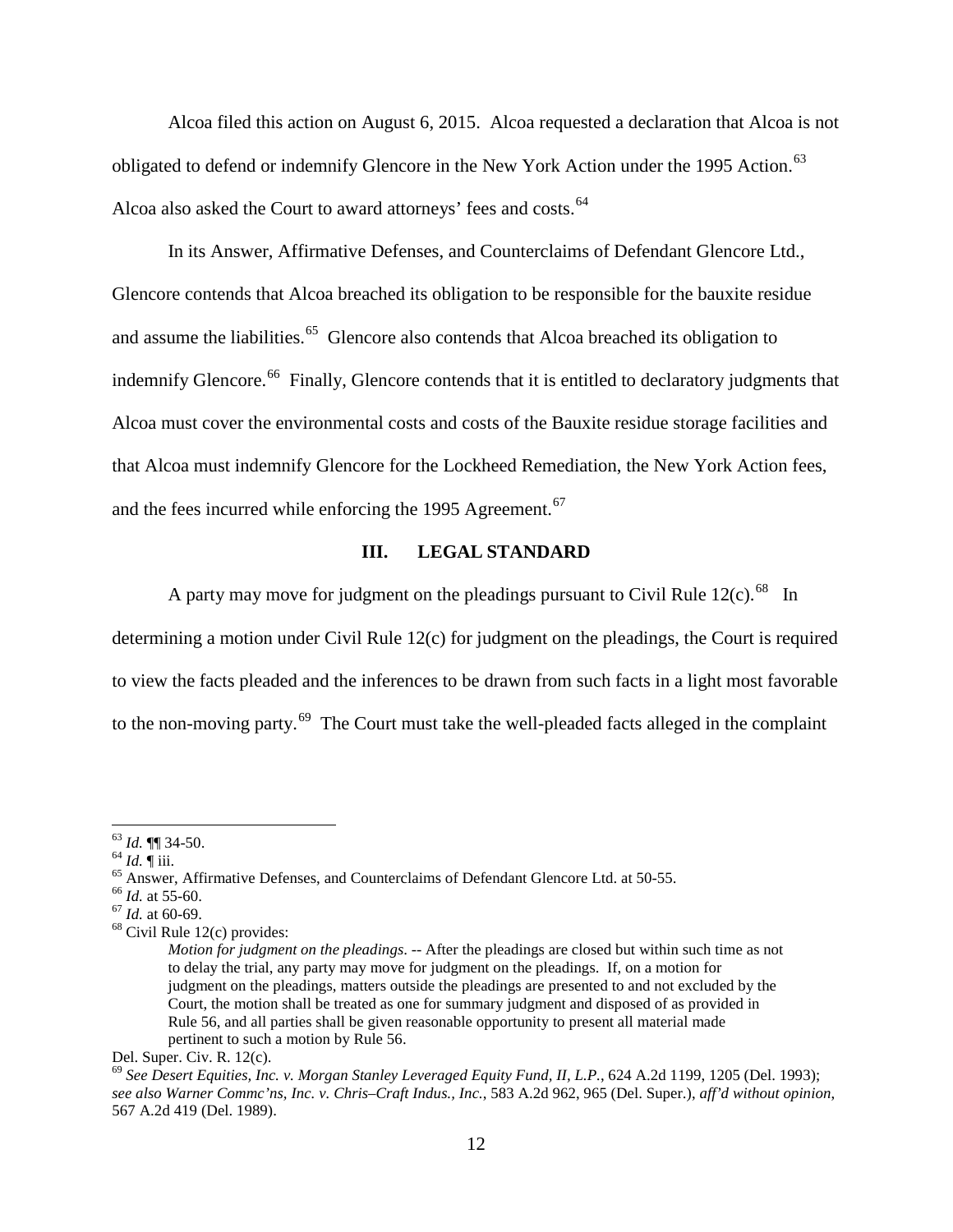Alcoa filed this action on August 6, 2015. Alcoa requested a declaration that Alcoa is not obligated to defend or indemnify Glencore in the New York Action under the 1995 Action.<sup>[63](#page-11-0)</sup> Alcoa also asked the Court to award attorneys' fees and costs.<sup>[64](#page-11-1)</sup>

In its Answer, Affirmative Defenses, and Counterclaims of Defendant Glencore Ltd., Glencore contends that Alcoa breached its obligation to be responsible for the bauxite residue and assume the liabilities.<sup>65</sup> Glencore also contends that Alcoa breached its obligation to indemnify Glencore.<sup>[66](#page-11-3)</sup> Finally, Glencore contends that it is entitled to declaratory judgments that Alcoa must cover the environmental costs and costs of the Bauxite residue storage facilities and that Alcoa must indemnify Glencore for the Lockheed Remediation, the New York Action fees, and the fees incurred while enforcing the 1995 Agreement.<sup>[67](#page-11-4)</sup>

#### **III. LEGAL STANDARD**

A party may move for judgment on the pleadings pursuant to Civil Rule 12(c).<sup>68</sup> In

determining a motion under Civil Rule 12(c) for judgment on the pleadings, the Court is required to view the facts pleaded and the inferences to be drawn from such facts in a light most favorable to the non-moving party.<sup>[69](#page-11-6)</sup> The Court must take the well-pleaded facts alleged in the complaint

<span id="page-11-2"></span><span id="page-11-1"></span>

<span id="page-11-0"></span><sup>&</sup>lt;sup>63</sup> *Id.*  $\P$  34-50.<br><sup>64</sup> *Id.*  $\P$  iii.<br><sup>65</sup> Answer, Affirmative Defenses, and Counterclaims of Defendant Glencore Ltd. at 50-55.<br><sup>66</sup> *Id.* at 55-60.<br><sup>67</sup> *Id.* at 60-69.<br><sup>68</sup> Civil Rule 12(c) provides:

<span id="page-11-3"></span>

<span id="page-11-4"></span>

<span id="page-11-5"></span>

*Motion for judgment on the pleadings*. -- After the pleadings are closed but within such time as not to delay the trial, any party may move for judgment on the pleadings. If, on a motion for judgment on the pleadings, matters outside the pleadings are presented to and not excluded by the Court, the motion shall be treated as one for summary judgment and disposed of as provided in Rule 56, and all parties shall be given reasonable opportunity to present all material made pertinent to such a motion by Rule 56.

Del. Super. Civ. R. 12(c).

<span id="page-11-6"></span><sup>69</sup> *See Desert Equities, Inc. v. Morgan Stanley Leveraged Equity Fund, II, L.P.*, 624 A.2d 1199, 1205 (Del. 1993); *see also Warner Commc'ns, Inc. v. Chris–Craft Indus., Inc.*, 583 A.2d 962, 965 (Del. Super.), *aff'd without opinion*, 567 A.2d 419 (Del. 1989).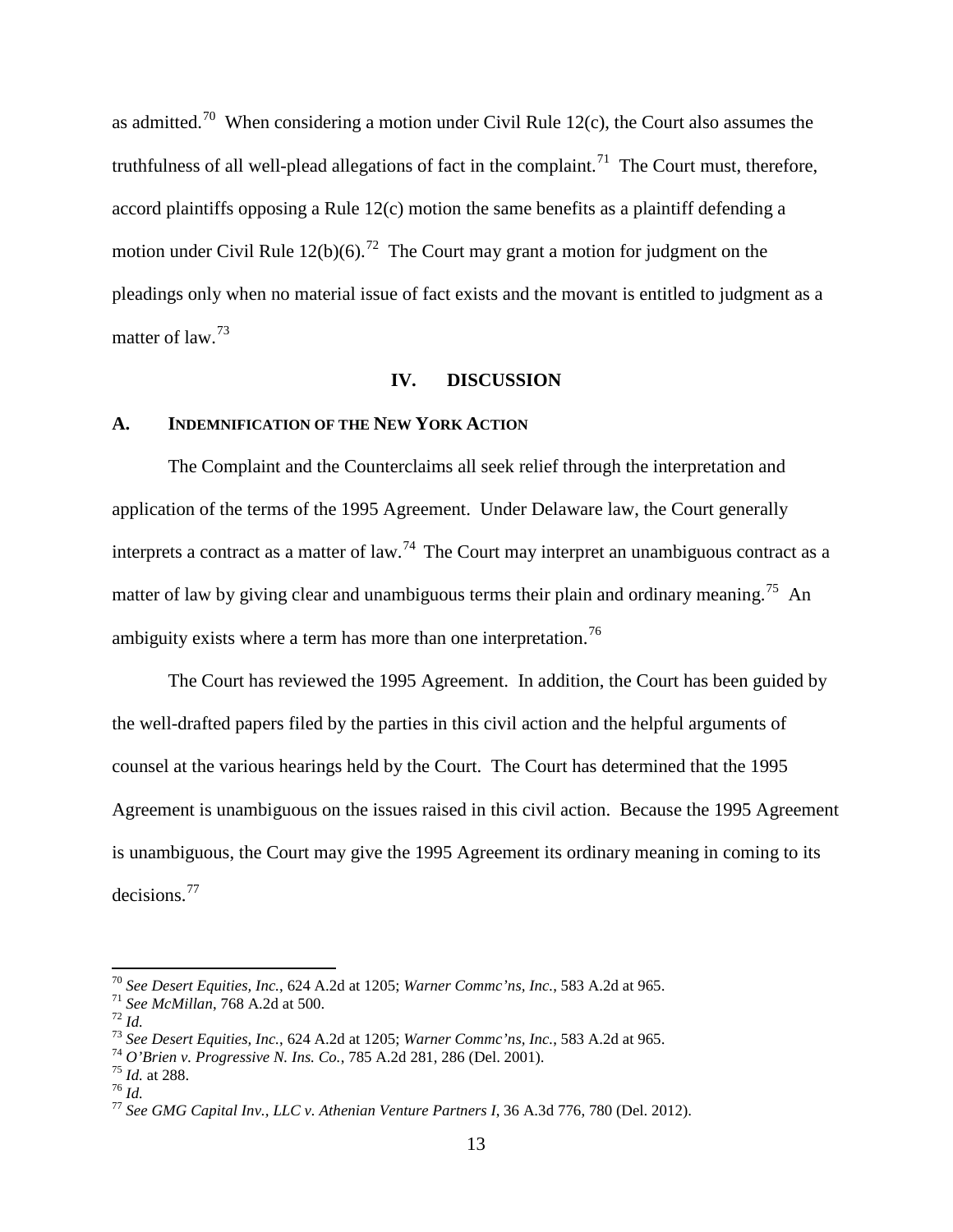as admitted.<sup>[70](#page-12-0)</sup> When considering a motion under Civil Rule 12(c), the Court also assumes the truthfulness of all well-plead allegations of fact in the complaint.<sup>71</sup> The Court must, therefore, accord plaintiffs opposing a Rule 12(c) motion the same benefits as a plaintiff defending a motion under Civil Rule 12(b)(6).<sup>72</sup> The Court may grant a motion for judgment on the pleadings only when no material issue of fact exists and the movant is entitled to judgment as a matter of law.<sup>[73](#page-12-3)</sup>

#### **IV. DISCUSSION**

#### **A. INDEMNIFICATION OF THE NEW YORK ACTION**

The Complaint and the Counterclaims all seek relief through the interpretation and application of the terms of the 1995 Agreement. Under Delaware law, the Court generally interprets a contract as a matter of law.<sup>[74](#page-12-4)</sup> The Court may interpret an unambiguous contract as a matter of law by giving clear and unambiguous terms their plain and ordinary meaning.<sup>75</sup> An ambiguity exists where a term has more than one interpretation.<sup>[76](#page-12-6)</sup>

The Court has reviewed the 1995 Agreement. In addition, the Court has been guided by the well-drafted papers filed by the parties in this civil action and the helpful arguments of counsel at the various hearings held by the Court. The Court has determined that the 1995 Agreement is unambiguous on the issues raised in this civil action. Because the 1995 Agreement is unambiguous, the Court may give the 1995 Agreement its ordinary meaning in coming to its decisions. [77](#page-12-7)

<span id="page-12-1"></span>

<span id="page-12-2"></span>

<span id="page-12-0"></span><sup>&</sup>lt;sup>70</sup> See Desert Equities, Inc., 624 A.2d at 1205; Warner Commc'ns, Inc., 583 A.2d at 965.<br>
<sup>71</sup> See McMillan, 768 A.2d at 500.<br>
<sup>72</sup> Id.<br>
<sup>73</sup> See Desert Equities, Inc., 624 A.2d at 1205; Warner Commc'ns, Inc., 583 A.2d a

<span id="page-12-4"></span><span id="page-12-3"></span>

<span id="page-12-6"></span><span id="page-12-5"></span>

<span id="page-12-7"></span>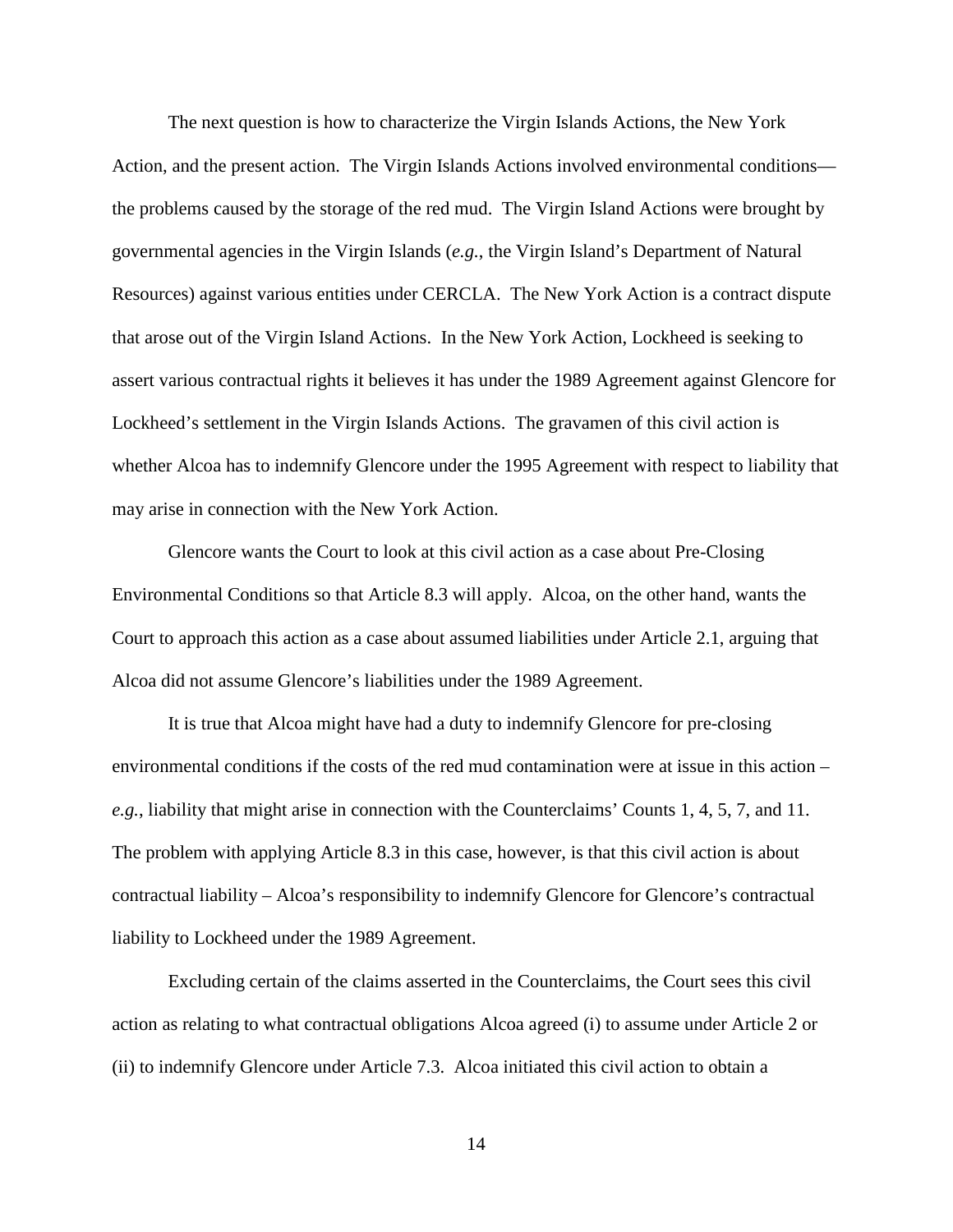The next question is how to characterize the Virgin Islands Actions, the New York Action, and the present action. The Virgin Islands Actions involved environmental conditions the problems caused by the storage of the red mud. The Virgin Island Actions were brought by governmental agencies in the Virgin Islands (*e.g.*, the Virgin Island's Department of Natural Resources) against various entities under CERCLA. The New York Action is a contract dispute that arose out of the Virgin Island Actions. In the New York Action, Lockheed is seeking to assert various contractual rights it believes it has under the 1989 Agreement against Glencore for Lockheed's settlement in the Virgin Islands Actions. The gravamen of this civil action is whether Alcoa has to indemnify Glencore under the 1995 Agreement with respect to liability that may arise in connection with the New York Action.

Glencore wants the Court to look at this civil action as a case about Pre-Closing Environmental Conditions so that Article 8.3 will apply. Alcoa, on the other hand, wants the Court to approach this action as a case about assumed liabilities under Article 2.1, arguing that Alcoa did not assume Glencore's liabilities under the 1989 Agreement.

It is true that Alcoa might have had a duty to indemnify Glencore for pre-closing environmental conditions if the costs of the red mud contamination were at issue in this action – *e.g.*, liability that might arise in connection with the Counterclaims' Counts 1, 4, 5, 7, and 11. The problem with applying Article 8.3 in this case, however, is that this civil action is about contractual liability – Alcoa's responsibility to indemnify Glencore for Glencore's contractual liability to Lockheed under the 1989 Agreement.

Excluding certain of the claims asserted in the Counterclaims, the Court sees this civil action as relating to what contractual obligations Alcoa agreed (i) to assume under Article 2 or (ii) to indemnify Glencore under Article 7.3. Alcoa initiated this civil action to obtain a

14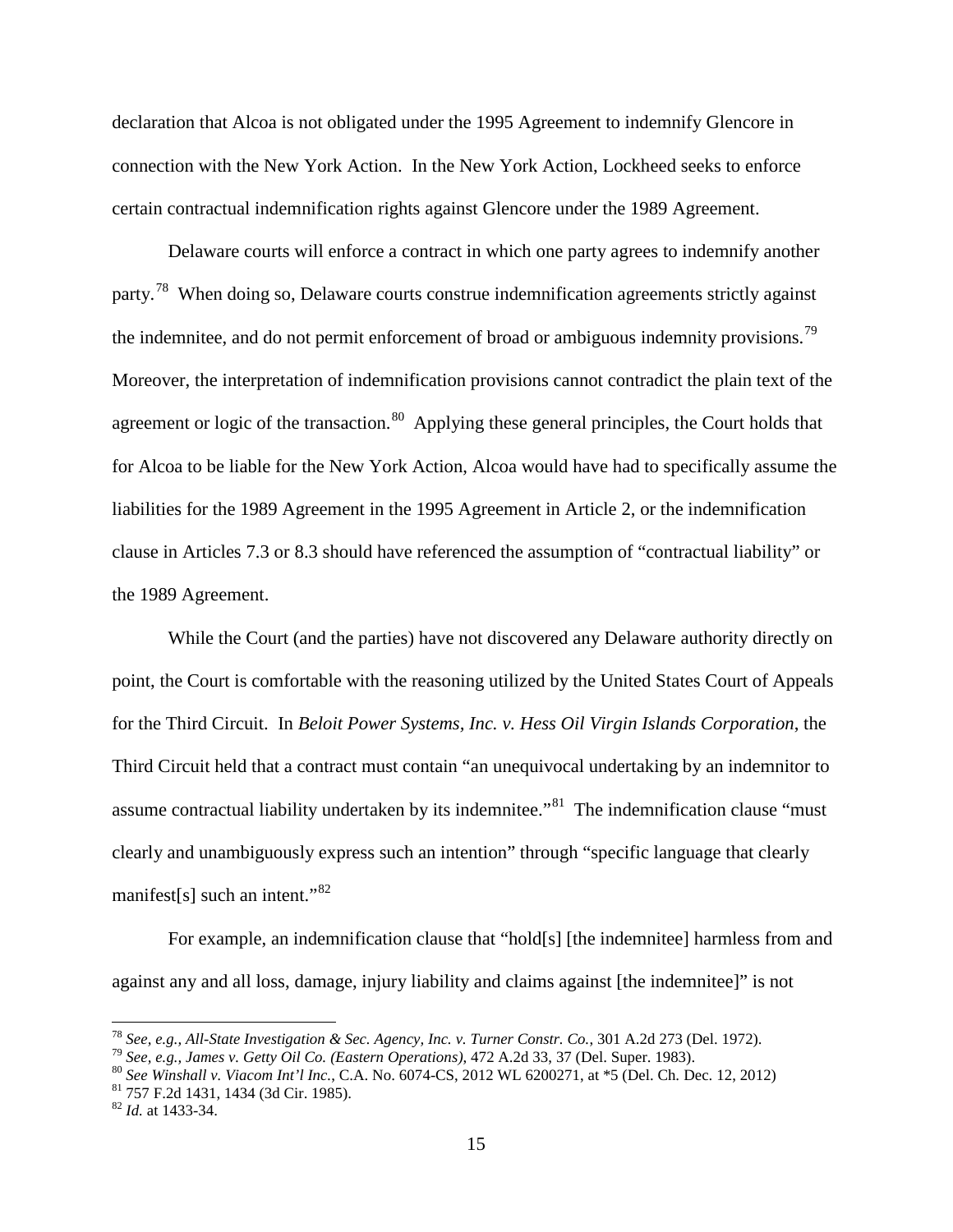declaration that Alcoa is not obligated under the 1995 Agreement to indemnify Glencore in connection with the New York Action. In the New York Action, Lockheed seeks to enforce certain contractual indemnification rights against Glencore under the 1989 Agreement.

Delaware courts will enforce a contract in which one party agrees to indemnify another party.<sup>[78](#page-14-0)</sup> When doing so, Delaware courts construe indemnification agreements strictly against the indemnitee, and do not permit enforcement of broad or ambiguous indemnity provisions.<sup>[79](#page-14-1)</sup> Moreover, the interpretation of indemnification provisions cannot contradict the plain text of the agreement or logic of the transaction.<sup>80</sup> Applying these general principles, the Court holds that for Alcoa to be liable for the New York Action, Alcoa would have had to specifically assume the liabilities for the 1989 Agreement in the 1995 Agreement in Article 2, or the indemnification clause in Articles 7.3 or 8.3 should have referenced the assumption of "contractual liability" or the 1989 Agreement.

While the Court (and the parties) have not discovered any Delaware authority directly on point, the Court is comfortable with the reasoning utilized by the United States Court of Appeals for the Third Circuit. In *Beloit Power Systems, Inc. v. Hess Oil Virgin Islands Corporation*, the Third Circuit held that a contract must contain "an unequivocal undertaking by an indemnitor to assume contractual liability undertaken by its indemnitee."<sup>[81](#page-14-3)</sup> The indemnification clause "must" clearly and unambiguously express such an intention" through "specific language that clearly manifest[s] such an intent."<sup>[82](#page-14-4)</sup>

For example, an indemnification clause that "hold[s] [the indemnitee] harmless from and against any and all loss, damage, injury liability and claims against [the indemnitee]" is not

<span id="page-14-2"></span><span id="page-14-1"></span>

<span id="page-14-0"></span><sup>&</sup>lt;sup>78</sup> See, e.g., All-State Investigation & Sec. Agency, Inc. v. Turner Constr. Co., 301 A.2d 273 (Del. 1972).<br><sup>79</sup> See, e.g., James v. Getty Oil Co. (Eastern Operations), 472 A.2d 33, 37 (Del. Super. 1983).<br><sup>80</sup> See Winsha

<span id="page-14-4"></span><span id="page-14-3"></span>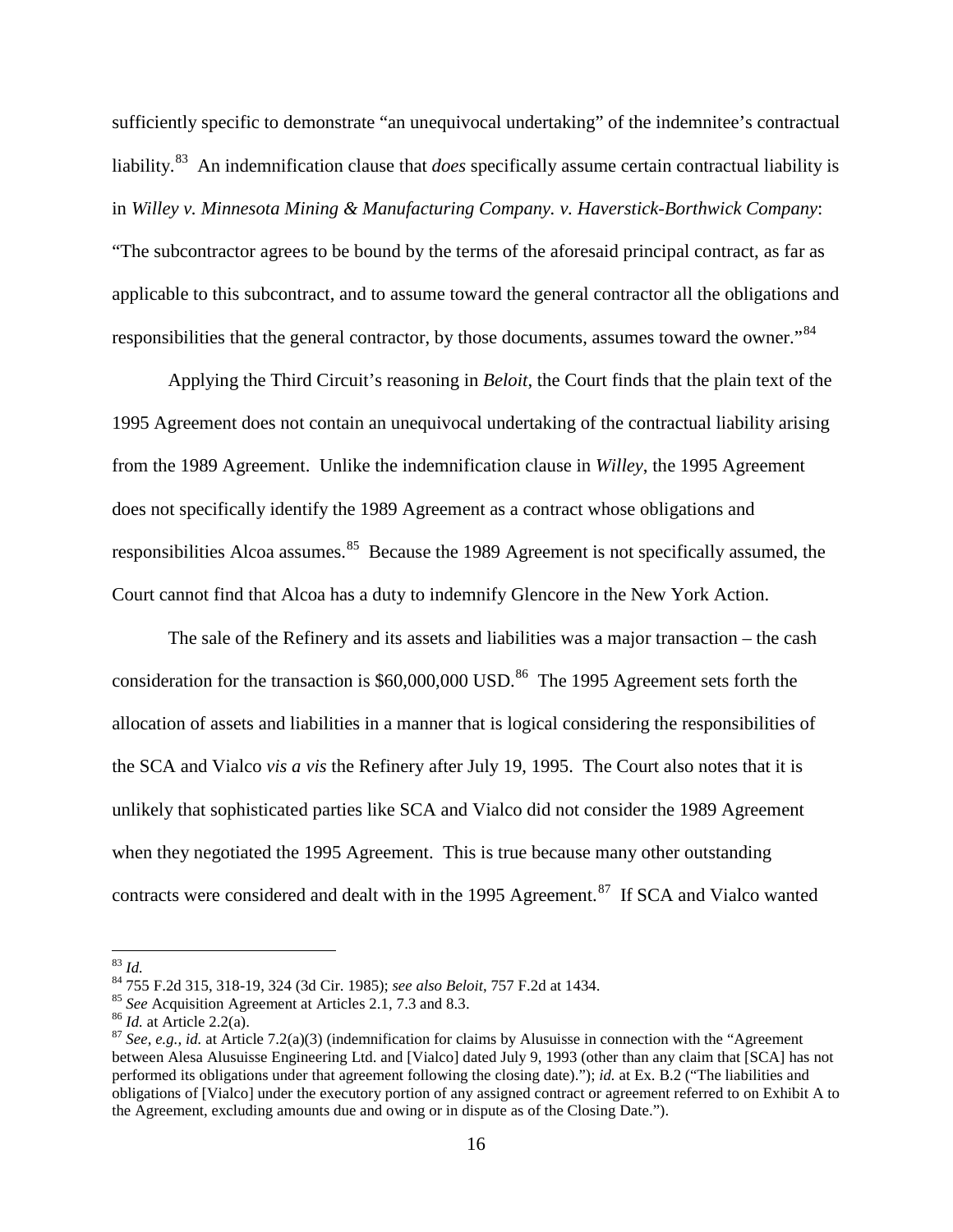sufficiently specific to demonstrate "an unequivocal undertaking" of the indemnitee's contractual liability.[83](#page-15-0) An indemnification clause that *does* specifically assume certain contractual liability is in *Willey v. Minnesota Mining & Manufacturing Company. v. Haverstick-Borthwick Company*: "The subcontractor agrees to be bound by the terms of the aforesaid principal contract, as far as applicable to this subcontract, and to assume toward the general contractor all the obligations and responsibilities that the general contractor, by those documents, assumes toward the owner."<sup>84</sup>

Applying the Third Circuit's reasoning in *Beloit*, the Court finds that the plain text of the 1995 Agreement does not contain an unequivocal undertaking of the contractual liability arising from the 1989 Agreement. Unlike the indemnification clause in *Willey*, the 1995 Agreement does not specifically identify the 1989 Agreement as a contract whose obligations and responsibilities Alcoa assumes.<sup>[85](#page-15-2)</sup> Because the 1989 Agreement is not specifically assumed, the Court cannot find that Alcoa has a duty to indemnify Glencore in the New York Action.

The sale of the Refinery and its assets and liabilities was a major transaction – the cash consideration for the transaction is  $$60,000,000$  USD.<sup>86</sup> The 1995 Agreement sets forth the allocation of assets and liabilities in a manner that is logical considering the responsibilities of the SCA and Vialco *vis a vis* the Refinery after July 19, 1995. The Court also notes that it is unlikely that sophisticated parties like SCA and Vialco did not consider the 1989 Agreement when they negotiated the 1995 Agreement. This is true because many other outstanding contracts were considered and dealt with in the 1995 Agreement.<sup>87</sup> If SCA and Vialco wanted

<span id="page-15-3"></span><span id="page-15-2"></span>

<span id="page-15-4"></span>

<span id="page-15-1"></span><span id="page-15-0"></span><sup>&</sup>lt;sup>83</sup> *Id.*<br><sup>84</sup> 755 F.2d 315, 318-19, 324 (3d Cir. 1985); *see also Beloit*, 757 F.2d at 1434.<br><sup>85</sup> *See* Acquisition Agreement at Articles 2.1, 7.3 and 8.3.<br><sup>86</sup> *Id.* at Article 2.2(a).<br><sup>87</sup> *See*, *e.g., id.* at Articl between Alesa Alusuisse Engineering Ltd. and [Vialco] dated July 9, 1993 (other than any claim that [SCA] has not performed its obligations under that agreement following the closing date)."); *id.* at Ex. B.2 ("The liabilities and obligations of [Vialco] under the executory portion of any assigned contract or agreement referred to on Exhibit A to the Agreement, excluding amounts due and owing or in dispute as of the Closing Date.").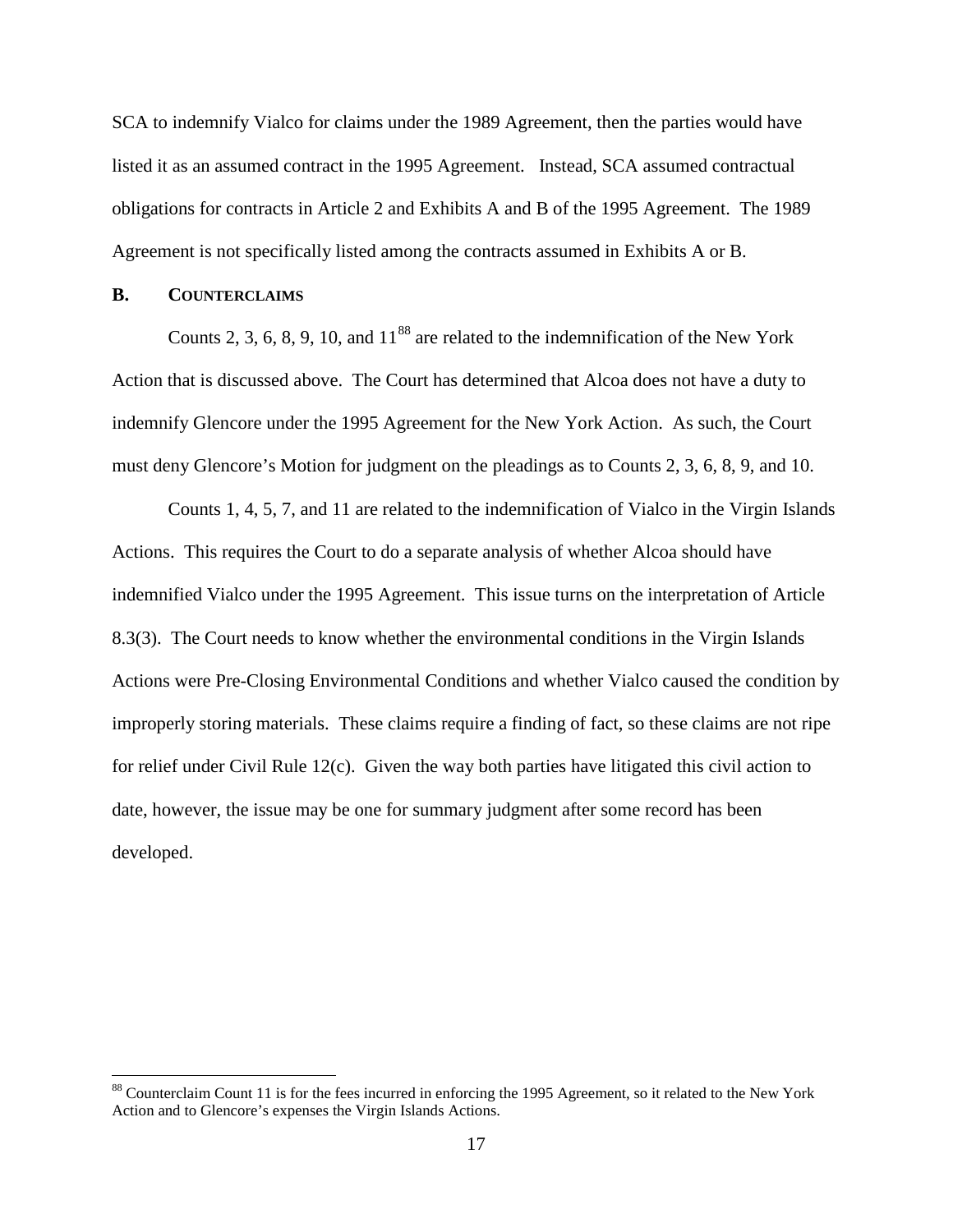SCA to indemnify Vialco for claims under the 1989 Agreement, then the parties would have listed it as an assumed contract in the 1995 Agreement. Instead, SCA assumed contractual obligations for contracts in Article 2 and Exhibits A and B of the 1995 Agreement. The 1989 Agreement is not specifically listed among the contracts assumed in Exhibits A or B.

#### **B. COUNTERCLAIMS**

Counts 2, 3, 6, 8, 9, 10, and  $11^{88}$  $11^{88}$  $11^{88}$  are related to the indemnification of the New York Action that is discussed above. The Court has determined that Alcoa does not have a duty to indemnify Glencore under the 1995 Agreement for the New York Action. As such, the Court must deny Glencore's Motion for judgment on the pleadings as to Counts 2, 3, 6, 8, 9, and 10.

Counts 1, 4, 5, 7, and 11 are related to the indemnification of Vialco in the Virgin Islands Actions. This requires the Court to do a separate analysis of whether Alcoa should have indemnified Vialco under the 1995 Agreement. This issue turns on the interpretation of Article 8.3(3). The Court needs to know whether the environmental conditions in the Virgin Islands Actions were Pre-Closing Environmental Conditions and whether Vialco caused the condition by improperly storing materials. These claims require a finding of fact, so these claims are not ripe for relief under Civil Rule 12(c). Given the way both parties have litigated this civil action to date, however, the issue may be one for summary judgment after some record has been developed.

<span id="page-16-0"></span><sup>&</sup>lt;sup>88</sup> Counterclaim Count 11 is for the fees incurred in enforcing the 1995 Agreement, so it related to the New York Action and to Glencore's expenses the Virgin Islands Actions.